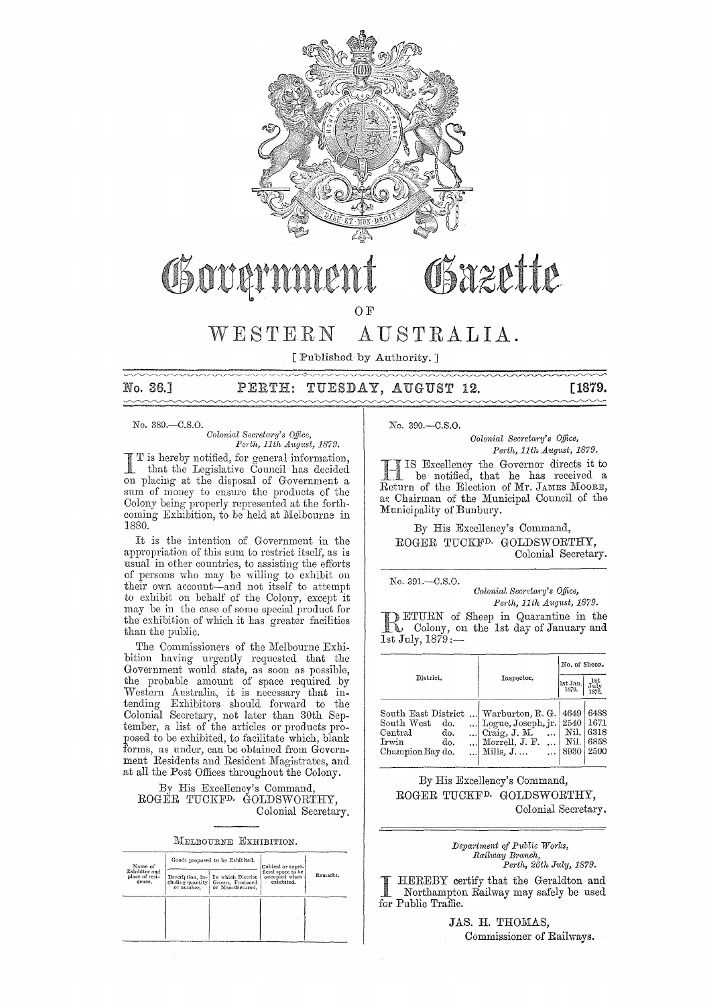

# Osazette Govern

OF

WESTERN AUSTRALIA.

[Published by Authority. ]

# No. 36.] PERTH: TUESDAY, AUGUST 12. [1879.

No. 389.-C.S.0.

#### $Colonial$  Secretary's Office, *Pcrth, 11th A"'g1!st, 1879.*

is hereby notified, for general information, that the Legislative Council has decided on placing at the disposal of Government a sum of money to ensure the products of the Colony being properly represented at the forthcoming Exhibition, to be held at Melbourne in 1880.

It is the intention of Governmcnt in the appropriation of this sum to restrict itself, as is usual in other countries, to assisting the efforts of persons who may be willing to exhibit on their own account-and not itself to attempt to exhibit on bchalf of the Colony, except it may be in the case of 80me special product for the exhibition of which it has greater facilities than the public.

The Commissioners of the Melbourne Exhibition having urgently requested that the Government would state, as soon as possible, the probable amount of space required by Western Australia, it is necessary that intending Exhibitors should forward to the Colonial Secretary, not later than 30th September, a list of the articles or products proposed to be exhibited, to facilitate which, blank forms, as under, can be obtained from Government Residents and Resident Magistrates, and at all the Post Offices throughout the Colony.

By His Excellency's Command, ROGER TUCKFD. GOLDSWORTHY, Colonial Secretary.

MELBOURNE EXHIBITION.

| Name of<br>Exhibitor and<br>place of resi-<br>dence. |            | Goods proposed to be Exhibited.                                                              | Cubical or super-                                 |          |  |
|------------------------------------------------------|------------|----------------------------------------------------------------------------------------------|---------------------------------------------------|----------|--|
|                                                      | or number. | Description, in- In which District<br>cluding quantity   Grown, Froduced<br>or Manufactured. | ficial space to be<br>occupied when<br>exhibited. | Remarks. |  |
|                                                      |            |                                                                                              |                                                   |          |  |
|                                                      |            |                                                                                              |                                                   |          |  |

No. 390.-C.S.O.

*Colonial Sec;'etary's Office, Perth, 11th August, 1879.* 

II IS Excellency the Governor directs it to<br>Return of the Election of Mr. JAMES MOORE, -lIS Excellency the Governor directs it to be notified, that he has received a as Chairman of the Municipal Council of the Municipality of Bunbury.

By His Excellency's Command, ROGER TUCKFD. GOLDSWORTHY, Colonial Secretary.

No. 391.-C.S.0.

*Colonial Secretary's Office,* 

 $Perth, 11th$  *August, 1879.* **RETURN** of Sheep in Quarantine in the Colony, on the 1st day of January and 1st July,  $1879:$ 

|                                                                                                |  | No. of Sheep.                                                                                   |                                      |                                      |  |
|------------------------------------------------------------------------------------------------|--|-------------------------------------------------------------------------------------------------|--------------------------------------|--------------------------------------|--|
| District.                                                                                      |  | Inspector.                                                                                      | 1st Jan.<br>1879.                    | $_{\rm July}^{\rm 1st}$<br>1879.     |  |
| South East District<br>South West<br>do.<br>Central<br>do.<br>Irwin<br>do.<br>Champion Bay do. |  | Warburton, R. G.<br>Logue, Joseph, jr.<br>Craig, J. M.<br>Morrell, J. F.<br>Mills, $J_{\ldots}$ | 4649<br>2540<br>Nil.<br>Nil.<br>8930 | 6488<br>1671<br>6318<br>6858<br>2500 |  |

By His Excellency's Command, ROGER TUCKFD. GOLDSWORTHY, Colonial Secretary.

# *Department of Public Works, Railway B1'anch, Pm'tlt, 26th J1Lly, 1879.*

I HEREBY certify that the Geraldton and<br>Northampton Railway may safely be used for Public Traffic.

> JAS. H. THOMAS, Commissioner of Railways.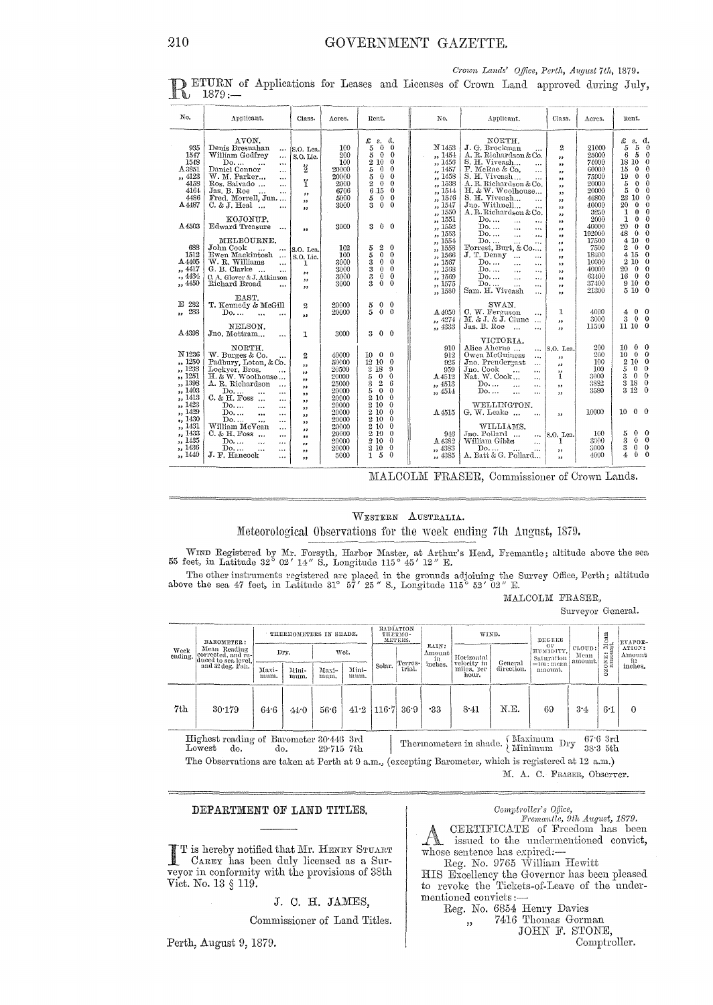No. Applicant. Class. Acres. Rent.  $\overline{N}$ o. Annliennt. Class. Acres. nent.  $\begin{matrix} 3.5 \ 5.5 \end{matrix}$ NORTH.<br>J. G. Brockman<br>A. R. Richardson & Co.<br>S. H. Viveash...<br>F. McRae & Co.  $\begin{smallmatrix} \mathcal{L} \\ \mathcal{S} \\ \mathcal{S} \\ \mathcal{G} \end{smallmatrix}$ AVON.<br>Denis Bresnahan<br>William Godfrey  $\begin{array}{l} \text{\it \pounds}\!\!\!\!&\!\!\!\!s.\!\!\!\!&\!\!\!\!s.\!\!\!\!&\!\!\!\!0 \\ 5 & 0 & 0 \\ 5 & 0 & 0 \\ 5 & 0 & 0 \\ 5 & 0 & 0 \\ 2 & 0 & 0 \end{array}$  $a_0 0 0 0 0 0 0 0 0 0 0 0$  $\begin{array}{c} 100 \\ 200 \\ 100 \\ 20000 \end{array}$  $\begin{array}{c} 21000 \\ 25000 \\ 74000 \\ 60000 \end{array}$ **OOL** N 1453  $\overline{2}$ S.O. Lea  $\begin{array}{c} 935\ 1547\ 1548\ \text{A}\,3851\ \end{array}$ *n* 1454<br>1454<br>1457 1457<br>14558 1558<br>1558 1555<br>1558<br>1558<br>1558  $S$ ,  $O$ ,  $I$  *i.e.*  $\ddot{ }$ William Godtrey<br>Daniel Connor<br>Daniel Connor<br>W. M. Parker...<br>W. M. Parker...<br>Jas. B. Roe<br>Fred. Morrell, Jun....<br>C. & J. Heal ...  $\begin{array}{c} 6\ \ \, 5\ \ \, 18\ \ \, 10\ \ \, 15\ \ \, 0\ \ \, 19\ \ \, 0\ \ \, 5\ \ \, 5\ \ \, 0\ \ \, 0\ \ \, 0\ \ \, 0\ \ \, 0\ \ \, 0\ \ \, 0\ \ \, 0\ \ \, 0\ \ \, 0\ \ \, 0\ \ \, 0\ \ \, 0\ \ \, 0\ \ \, 0\ \ \, 0\ \ \,$ カカカカカカカカカカカカカカカカカカカカ  $\frac{1}{2}$ 20000<br>20000<br>2000<br>6706<br>5000<br>3000 F. menas & Co.<br>S. H. Niveash...<br>A. R. Richardson & Co.<br>H. & W. Woolhouse...<br>S. H. Viveash...<br>Jno. Withnell...<br>A. R. Richardson & Co.  $\frac{4123}{4158}$  $75900$ <br>20000 Ÿ  $20000$ <br> $46800$ <br> $40000$ <br> $3250$ <br> $2000$  $\begin{smallmatrix} 2 & 15 \\ 6 & 15 \\ 5 & 0 \\ 3 & 0 \end{smallmatrix}$ 4164 ,,<br>,,<br>,, A4487 KOJONUP.<br>Edward Treasure  $\begin{array}{c}\n\text{Do...} \\
\text{Do...} \\
\text{Do...} \\
\text{Do...} \\
\text{Do...}\n\end{array}$  $\begin{array}{c}\n\overline{\phantom{0}} \\
\overline{\phantom{0}} \\
\overline{\phantom{0}} \\
\overline{\phantom{0}} \\
\overline{\phantom{0}} \\
\overline{\phantom{0}} \\
\overline{\phantom{0}} \\
\overline{\phantom{0}} \\
\overline{\phantom{0}} \\
\overline{\phantom{0}} \\
\overline{\phantom{0}} \\
\overline{\phantom{0}} \\
\overline{\phantom{0}} \\
\overline{\phantom{0}} \\
\overline{\phantom{0}} \\
\overline{\phantom{0}} \\
\overline{\phantom{0}} \\
\overline{\phantom{0}} \\
\overline{\phantom{0}} \\
\overline{\phantom{0}} \\
\overline{\phantom{0}} \\
\over$ A4503 3000  $3 \t0 \t0$ 40000  $\ddotsc$  $\overline{\mathbf{r}}$ 192000  $\frac{17500}{7500}$ <br> $\frac{18000}{16000}$ <br> $\frac{40000}{63400}$ MELBOURNE.  $1551$ MELBOURNE.<br>
John Cook ...<br>
Ewen Mackintosh ...<br>
W. R. Williams ...<br>
G. B. Clarke ... ...<br>
C. A. Glover & J. Atkinson<br>
Richard Broad ... ,,<br>,,  $\begin{array}{c} 102 \\ 100 \\ 3000 \\ 3000 \\ 3000 \\ 3000 \\ 3000 \end{array}$  $\begin{array}{l} 5\ \ 2\\ 5\ \ 0\\ 3\ \ 0\\ 3\ \ 3\\ 3\ \ 0\\ \end{array}$ 688  $1558$ S.O. Lea  $000000$  $\frac{1558}{1567}$ <br> $\frac{1567}{1568}$ <br> $\frac{1568}{1575}$ <br> $\frac{1575}{1580}$  $1512$ <br>A 4405<br>  $, 4417$ <br>  $, 4434$  $S.0$ , Lic.  $\ddot{\mathbf{r}}$  $\begin{bmatrix} 1 & 1 \\ 1 & 1 \\ 1 & 1 \\ 1 & 1 \\ 1 & 1 \end{bmatrix}$ ,,<br>,, ,, 4450 37400<br>21300  $\frac{1000}{1580}$ SWAN,<br>C. W. Ferguson<br>M. & J. & J. Clune<br>Jas. B. Roe  $\mathbb{E}$  282<br>  $\frac{282}{283}$ 20000<br>20000  $\begin{array}{cc} 5 & 0 & 0 \\ 5 & 0 & 0 \end{array}$  $\ddot{2}$  $\frac{4000}{3000}$ <br>11500  $\begin{smallmatrix} 4 & 0\\ 3 & 0\\ 11 & 10 \end{smallmatrix}$  $\mathbf 1$ A4050  $\begin{smallmatrix} 0 \\ 0 \\ 0 \end{smallmatrix}$  $\ddot{\phantom{a}}$  $\ddotsc$  $, \frac{4274}{4333}$  $\ddotsc$ " NELSON.<br>Jno. Mottram... A4398  $\mathbf{1}$ 3000  $3 \t0 \t0$ ono, moderani, ...<br>
W. Burges & Co.<br>
Padhury, Loton, & Co.<br>
Leckyer, Bros., ...<br>
H. & W. Woolhouse...<br>
A. K. Kichardson<br>
Do...<br>
Do...<br>
Do...<br>
William MeVean<br>
Do...<br>
William MeVean<br>
Do...<br>
William MeVean<br>
Do...<br>
Do...<br>
Do.. VICTORIA. VICTORIA.<br>
Alice Alerne ...<br>
Owen McGuiness<br>
Jno. Prendergast<br>
... Jno. Cook ...<br>
Mat. W. Cook ... ...<br>
Do.... ... ... ...<br>
Do... ... ...  $\begin{array}{c} 10&0\\ 10&0\\ 2&10\\ 5&0\\ 3&0\\ 3&18\\ 3&12 \end{array}$  $910$ <br> $912$ <br> $925$ <br> $959$ S.O. Len 900 40000<br>50000<br>20500<br>20000<br>25000  $\frac{200}{100}$ <br> $\frac{100}{3000}$ N 1236  $\overline{2}$  $\begin{array}{c} 10 & 0 \\ 12 & 10 \\ 3 & 18 \\ 5 & 3 \\ 5 & 2 \\ 2 & 10 \\ 2 & 10 \\ 2 & 10 \\ 2 & 10 \\ 2 & 10 \\ 2 & 10 \\ 2 & 10 \\ 2 & 10 \\ 2 & 2 & 10 \\ 2 & 2 & 10 \\ 2 & 2 & 2 \\ 2 & 2 & 2 \\ 2 & 2 & 2 \\ 2 & 2 & 2 \\ 2 & 2 & 2 \\ 2 & 2 & 2 \\ 2 & 2 & 2 \\ 2 & 2 & 2 \\ 2 & 2 & 2 \\ 2 & 2 & 2 \\ 2 & 2 & 2 \\ 2 &$  $000000$  $\begin{array}{c} 10 \ 12 \ 3 \ 5 \ 5 \ 3 \end{array}$ 00000000000000 N 1236<br>
,, 1250<br>
,, 1251<br>
,, 1398<br>
,, 1403<br>
,, 1423<br>
,, 1429<br>
,, 1429 33<br>33 ,,<br>,,<br>,, ï A4512  $\frac{1}{1}$ , 4513<br>,, 4514  $\begin{array}{c} 3882 \\ 3580 \end{array}$ ,,<br>,, **おおりひがかりおびひび** 20000 20000<br>20000<br>20000<br>20000<br>20000<br>20000  $\begin{array}{c} \textbf{WELLINGTON.}\\ \textbf{G, W. Leake} \ \ldots \end{array}$ 1429<br>1430  $10000$  $10000$ A4515 ,,<br>,,  $\ddotsc$  $\overline{\mathbf{r}}$ ...<br>...<br>...  $\begin{smallmatrix} 2 & 10 \\ 2 & 10 \\ 2 & 10 \\ 2 & 10 \end{smallmatrix}$ WILLIAMS. ,, 1431<br>,, 1433  $\begin{smallmatrix} 0&0\\ 0&0\\ 0&0\\ 0&0 \end{smallmatrix}$ Jno. Pollard<br>William Gibbs<br>Do...  $\frac{100}{3000}$  $\begin{array}{c} 5 \\ 3 \\ 4 \end{array}$ 946 S.O.<sub>1</sub>Lea.  $\ddot{...}$ ,, 1435<br>,, 1436<br>,, 1440  $20000$ A 4383 20000<br>5000<br>5000  $\frac{5}{1}$   $\frac{10}{5}$ ,, 4383<br>,, 4385 ,,<br>,, A. Batt & G. Pollard... J. F. Hancock  $\frac{0000}{4000}$ 

Crown Lands' Office, Perth, August 7th, 1879. ETURN of Applications for Leases and Licenses of Crown Land approved during July, h.  $1879:$ 

MALCOLM FRASER, Commissioner of Crown Lands.

#### WESTERN AUSTRALIA.

Meteorological Observations for the week ending 7th August, 1879.

WIND Registered by Mr. Forsyth, Harbor Master, at Arthur's Head, Fremantle; altitude above the sea feet, in Latitude 32° 02' 14" S., Longitude 115° 45' 12" E.  $55$ 

The other instruments registered are placed in the grounds adjoining the Survey Office, Perth; altitude above the sea 47 feet, in Latitude 31° 57' 25" S., Longitude 115° 52' 02" E.

#### MALCOLM FRASER,

Surveyor General.

| RADIATION<br>THERMOMETERS IN SHADE.<br>WIND.<br>THERMO-<br>DEGREE<br>METERS.<br>a<br>Ri<br>BAROMETER:<br>ΟF<br>RAIN:<br>ATION:<br>CLOUD:<br>Mean Reading<br>HUMIDITY.<br>Wet.<br>Dry.<br>Amount<br>$\frac{0}{1000}$<br>corrected, and re-<br>Amount<br>Mean<br>Horizontal<br>Saturation<br>in<br>duced to sea level.<br>m<br>amount.<br>General<br>Terres-<br>velocity in<br>inches.<br>$=100$ ; mean<br>Solar.<br>inches.<br>and 32 deg, Fah.<br>direction.<br>trial.<br>miles, per<br>Mini-<br>Maxi-<br>Mini-<br>Maxi-<br>amount.<br>Ň<br>hour.<br>mum.<br>mum.<br>mum.<br>mum.<br>N.E.<br>7th<br>116.7<br>36.9<br>69<br>$-33$<br>8.41<br>$3-4$<br>30.179<br>$6-1$<br>41.2<br>56.6<br>$\Omega$<br>64.6<br>44.0<br>Highest reading of Barometer 30.446 3rd<br>Thermometers in shade. $\left\{\begin{array}{c}\text{Maximum} \\ \text{Minimum}\end{array}\right\}$<br>$67.6$ 3rd<br>Dry<br>$38.3$ 5th<br>$_{\rm Lowest}$<br>do.<br>$29.715$ 7th<br>do. |                 |  |  |  |  |  |  |  |  |  |  |         |  |
|--------------------------------------------------------------------------------------------------------------------------------------------------------------------------------------------------------------------------------------------------------------------------------------------------------------------------------------------------------------------------------------------------------------------------------------------------------------------------------------------------------------------------------------------------------------------------------------------------------------------------------------------------------------------------------------------------------------------------------------------------------------------------------------------------------------------------------------------------------------------------------------------------------------------------------------------------------|-----------------|--|--|--|--|--|--|--|--|--|--|---------|--|
|                                                                                                                                                                                                                                                                                                                                                                                                                                                                                                                                                                                                                                                                                                                                                                                                                                                                                                                                                        | Week<br>ending. |  |  |  |  |  |  |  |  |  |  | EVAPOR- |  |
|                                                                                                                                                                                                                                                                                                                                                                                                                                                                                                                                                                                                                                                                                                                                                                                                                                                                                                                                                        |                 |  |  |  |  |  |  |  |  |  |  |         |  |
|                                                                                                                                                                                                                                                                                                                                                                                                                                                                                                                                                                                                                                                                                                                                                                                                                                                                                                                                                        |                 |  |  |  |  |  |  |  |  |  |  |         |  |
| Mis Objective and the community of the community December 2011 to a second at 10 can V                                                                                                                                                                                                                                                                                                                                                                                                                                                                                                                                                                                                                                                                                                                                                                                                                                                                 |                 |  |  |  |  |  |  |  |  |  |  |         |  |

The Observations are taken at Perth at 9 a.m., (excepting Barometer, which is registered at 12 a.m.) M. A. C. FRASER, Observer.

#### DEPARTMENT OF LAND TITLES.

T is hereby notified that Mr. HENRY STUART CAREY has been duly licensed as a Surveyor in conformity with the provisions of 38th Vict. No. 13 § 119.

J. C. H. JAMES,

Commissioner of Land Titles.

Perth, August 9, 1879.

Comptroller's Office,<br>Fremantle, 9th August, 1879. CERTIFICATE of Freedom has been  $\mathcal{A}_\mathbf{k}$ issued to the undermentioned convict, whose sentence has expired:-

Reg. No. 9765 William Hewitt HIS Excellency the Governor has been pleased<br>to revoke the Tickets-of-Leave of the undermentioned convicts:

Reg. No. 6854 Henry Davies

,,

7416 Thomas Gorman JOHN F. STONE,

Comptroller.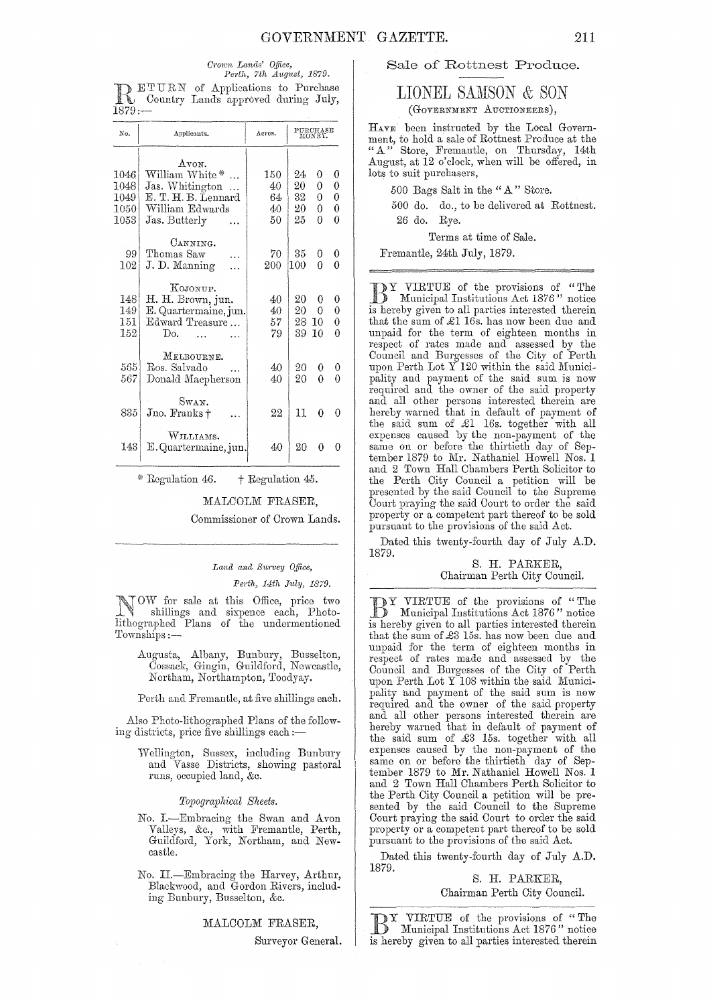#### Crown Lands' Office, Perth, 7th August, 1879.

DETURN of Applications to Purchase<br>
Reflexive Country Lands approved during July,  $1879:$ 

| No.                                            | Applicants.                                                                                           | Acres.                      | PURCHASE<br>MONEY.         |                       |                       |
|------------------------------------------------|-------------------------------------------------------------------------------------------------------|-----------------------------|----------------------------|-----------------------|-----------------------|
| 1046<br>1048<br>1049<br>$1050^{\circ}$<br>1053 | Avon.<br>William White*<br>Jas. Whitington<br>E. T. H. B. Lennard<br>William Edwards<br>Jas. Butterly | 150<br>40<br>64<br>40<br>50 | 24<br>20<br>32<br>20<br>25 | 0<br>0<br>0<br>0<br>0 | 0<br>0<br>0<br>0<br>0 |
| 99<br>102                                      | CANNING.<br>Thomas Saw<br>J.D. Manning                                                                | 70<br>200                   | 35<br>100                  | 0<br>0                | 0<br>0                |
| 1481<br>149 <br>151  <br>152                   | KOJONUP.<br>H. H. Brown, jun.<br>E. Quartermaine, jun.<br>Edward Treasure<br>Do.                      | 40<br>40<br>57<br>79        | 20<br>20<br>28.<br>39      | 0<br>0<br>10<br>10    | 0<br>0<br>0<br>0      |
| 565<br>567                                     | MELBOURNE.<br>Ros. Salvado<br>Donald Macpherson                                                       | 40<br>40                    | 20<br>20                   | 0<br>0                | 0<br>0                |
| 835                                            | Swan.<br>Jno. Franks +                                                                                | 22                          | 11                         | 0                     | O                     |
| 143                                            | WILLIAMS.<br>E. Quartermaine, jun.                                                                    | 40                          | 20                         | 0                     | Ω                     |

\* Regulation 46.  $\dagger$  Regulation 45.

#### MALCOLM FRASER.

Commissioner of Crown Lands.

## Land and Survey Office,

Perth, 14th July, 1879.

TOW for sale at this Office, price two<br>shillings and the Office, price two we shillings and sixpence each, Photo-<br>lithographed Plans of the undermentioned Townships:-

> Augusta, Albany, Bunbury, Busselton, Cossack, Gingin, Guildford, Newcastle, Northam, Northampton, Toodyay.

> Perth and Fremantle, at five shillings each.

Also Photo-lithographed Plans of the following districts, price five shillings each :-

> Wellington, Sussex, including Bunbury and Vasse Districts, showing pastoral runs, occupied land, &c.

> > Topographical Sheets.

- No. I.-Embracing the Swan and Avon Valleys, &c., with Fremantle, Perth, Guildford, York, Northam, and Newcastle.
- No. II.—Embracing the Harvey, Arthur, Blackwood, and Gordon Rivers, including Bunbury, Busselton, &c.

MALCOLM FRASER,

Surveyor General.

## Sale of Rottnest Produce.

# LIONEL SAMSON & SON

(GOVERNMENT AUCTIONEERS),

HAVE been instructed by the Local Government, to hold a sale of Rottnest Produce at the "A" Store, Fremantle, on Thursday, 14th August, at 12 o'clock, when will be offered, in lots to suit purchasers,

500 Bags Salt in the "A" Store.

500 do. do., to be delivered at Rottnest. 26 do. Rye.

Terms at time of Sale.

Fremantle, 24th July, 1879.

DY VIRTUE of the provisions of "The Municipal Institutions Act 1876" notice is hereby given to all parties interested therein that the sum of £1 16s. has now been due and unpaid for the term of eighteen months in respect of rates made and assessed by the Council and Burgesses of the City of Perth<br>upon Perth Lot Y 120 within the said Municipality and payment of the said sum is now required and the owner of the said property and all other persons interested therein are hereby warned that in default of payment of the said sum of £1 16s. together with all expenses caused by the non-payment of the same on or before the thirtieth day of September 1879 to Mr. Nathaniel Howell Nos. 1 and 2 Town Hall Chambers Perth Solicitor to the Perth City Council a petition will be presented by the said Council to the Supreme Court praying the said Court to order the said property or a competent part thereof to be sold pursuant to the provisions of the said Act.

Dated this twenty-fourth day of July A.D. 1879.

#### S. H. PARKER, Chairman Perth City Council.

DY VIRTUE of the provisions of "The Municipal Institutions Act 1876" notice is hereby given to all parties interested therein that the sum of £3 15s. has now been due and unpaid for the term of eighteen months in respect of rates made and assessed by the Council and Burgesses of the City of Perth upon Perth Lot Y 108 within the said Municipality and payment of the said sum is now required and the owner of the said property and all other persons interested therein are hereby warned that in default of payment of the said sum of £3 15s. together with all<br>expenses caused by the non-payment of the same on or before the thirtieth day of September 1879 to Mr. Nathaniel Howell Nos. 1 and 2 Town Hall Chambers Perth Solicitor to the Perth City Council a petition will be presented by the said Council to the Supreme Court praying the said Court to order the said property or a competent part thereof to be sold pursuant to the provisions of the said Act.

Dated this twenty-fourth day of July A.D. 1879.

S. H. PARKER, Chairman Perth City Council.

DY VIRTUE of the provisions of "The Municipal Institutions Act 1876" notice is hereby given to all parties interested therein